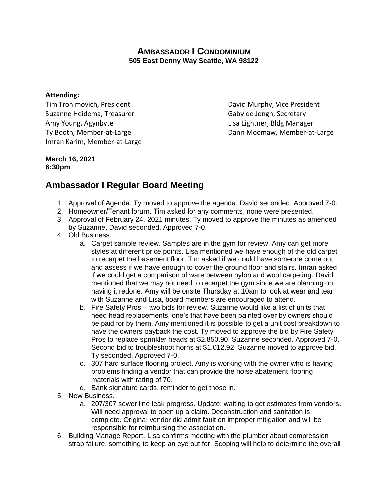## **AMBASSADOR I CONDOMINIUM 505 East Denny Way Seattle, WA 98122**

## **Attending:**

Tim Trohimovich, President **David Murphy, Vice President** Suzanne Heidema, Treasurer Gaby de Jongh, Secretary Amy Young, Agynbyte Lisa Lightner, Bldg Manager Imran Karim, Member-at-Large

Ty Booth, Member-at-Large Ty Booth, Member-at-Large Dann Moomaw, Member-at-Large

## **March 16, 2021 6:30pm**

## **Ambassador I Regular Board Meeting**

- 1. Approval of Agenda. Ty moved to approve the agenda, David seconded. Approved 7-0.
- 2. Homeowner/Tenant forum. Tim asked for any comments, none were presented.
- 3. Approval of February 24, 2021 minutes. Ty moved to approve the minutes as amended by Suzanne, David seconded. Approved 7-0.
- 4. Old Business.
	- a. Carpet sample review. Samples are in the gym for review. Amy can get more styles at different price points. Lisa mentioned we have enough of the old carpet to recarpet the basement floor. Tim asked if we could have someone come out and assess if we have enough to cover the ground floor and stairs. Imran asked if we could get a comparison of ware between nylon and wool carpeting. David mentioned that we may not need to recarpet the gym since we are planning on having it redone. Amy will be onsite Thursday at 10am to look at wear and tear with Suzanne and Lisa, board members are encouraged to attend.
	- b. Fire Safety Pros two bids for review. Suzanne would like a list of units that need head replacements, one's that have been painted over by owners should be paid for by them. Amy mentioned it is possible to get a unit cost breakdown to have the owners payback the cost. Ty moved to approve the bid by Fire Safety Pros to replace sprinkler heads at \$2,850.90, Suzanne seconded. Approved 7-0. Second bid to troubleshoot horns at \$1,012.92. Suzanne moved to approve bid, Ty seconded. Approved 7-0.
	- c. 307 hard surface flooring project. Amy is working with the owner who is having problems finding a vendor that can provide the noise abatement flooring materials with rating of 70.
	- d. Bank signature cards, reminder to get those in.
- 5. New Business.
	- a. 207/307 sewer line leak progress. Update: waiting to get estimates from vendors. Will need approval to open up a claim. Deconstruction and sanitation is complete. Original vendor did admit fault on improper mitigation and will be responsible for reimbursing the association.
- 6. Building Manage Report. Lisa confirms meeting with the plumber about compression strap failure, something to keep an eye out for. Scoping will help to determine the overall